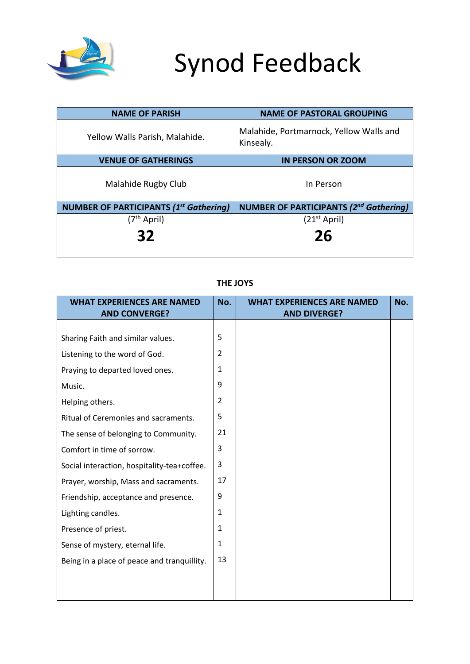

# Synod Feedback

| <b>NAME OF PARISH</b>                         | <b>NAME OF PASTORAL GROUPING</b>                     |
|-----------------------------------------------|------------------------------------------------------|
| Yellow Walls Parish, Malahide.                | Malahide, Portmarnock, Yellow Walls and<br>Kinsealy. |
| <b>VENUE OF GATHERINGS</b>                    | <b>IN PERSON OR ZOOM</b>                             |
| Malahide Rugby Club                           | In Person                                            |
| <b>NUMBER OF PARTICIPANTS (1st Gathering)</b> | <b>NUMBER OF PARTICIPANTS (2nd Gathering)</b>        |
| $(7th$ April)                                 | $(21st$ April)                                       |
| 32                                            | 26                                                   |

| <b>WHAT EXPERIENCES ARE NAMED</b><br><b>AND CONVERGE?</b> | No.            | <b>WHAT EXPERIENCES ARE NAMED</b><br><b>AND DIVERGE?</b> | No. |
|-----------------------------------------------------------|----------------|----------------------------------------------------------|-----|
|                                                           |                |                                                          |     |
| Sharing Faith and similar values.                         | 5              |                                                          |     |
| Listening to the word of God.                             | $\overline{2}$ |                                                          |     |
| Praying to departed loved ones.                           | 1              |                                                          |     |
| Music.                                                    | 9              |                                                          |     |
| Helping others.                                           | $\overline{2}$ |                                                          |     |
| Ritual of Ceremonies and sacraments.                      | 5              |                                                          |     |
| The sense of belonging to Community.                      | 21             |                                                          |     |
| Comfort in time of sorrow.                                | 3              |                                                          |     |
| Social interaction, hospitality-tea+coffee.               | 3              |                                                          |     |
| Prayer, worship, Mass and sacraments.                     | 17             |                                                          |     |
| Friendship, acceptance and presence.                      | 9              |                                                          |     |
| Lighting candles.                                         | 1              |                                                          |     |
| Presence of priest.                                       | $\mathbf{1}$   |                                                          |     |
| Sense of mystery, eternal life.                           | 1              |                                                          |     |
| Being in a place of peace and tranquillity.               | 13             |                                                          |     |
|                                                           |                |                                                          |     |
|                                                           |                |                                                          |     |

## **THE JOYS**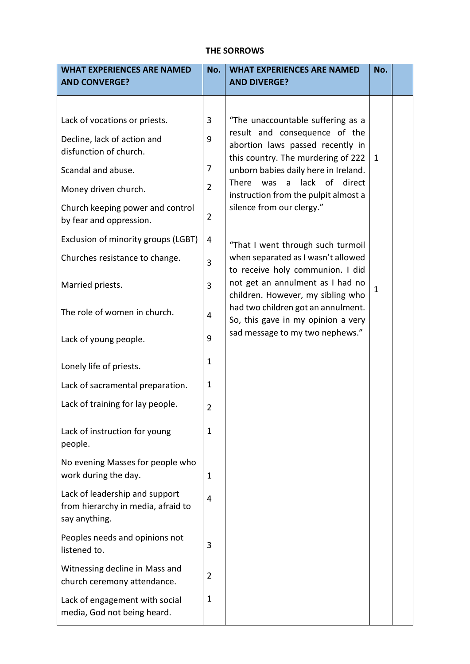### **THE SORROWS**

| <b>WHAT EXPERIENCES ARE NAMED</b><br><b>AND CONVERGE?</b>                             | No.            | <b>WHAT EXPERIENCES ARE NAMED</b><br><b>AND DIVERGE?</b>                                                                                          | No.          |  |
|---------------------------------------------------------------------------------------|----------------|---------------------------------------------------------------------------------------------------------------------------------------------------|--------------|--|
|                                                                                       |                |                                                                                                                                                   |              |  |
| Lack of vocations or priests.                                                         | 3              | "The unaccountable suffering as a<br>result and consequence of the                                                                                |              |  |
| Decline, lack of action and<br>disfunction of church.                                 | 9              | abortion laws passed recently in<br>this country. The murdering of 222                                                                            | $\mathbf{1}$ |  |
| Scandal and abuse.                                                                    | 7              | unborn babies daily here in Ireland.<br>lack of direct<br>There<br>was<br>a<br>instruction from the pulpit almost a<br>silence from our clergy."  |              |  |
| Money driven church.                                                                  | $\overline{2}$ |                                                                                                                                                   |              |  |
| Church keeping power and control<br>by fear and oppression.                           | $\overline{2}$ |                                                                                                                                                   |              |  |
| Exclusion of minority groups (LGBT)                                                   | 4              | "That I went through such turmoil                                                                                                                 |              |  |
| Churches resistance to change.                                                        | 3              | when separated as I wasn't allowed<br>to receive holy communion. I did                                                                            |              |  |
| Married priests.                                                                      | 3              | not get an annulment as I had no<br>children. However, my sibling who<br>had two children got an annulment.<br>So, this gave in my opinion a very | $\mathbf 1$  |  |
| The role of women in church.                                                          | 4              |                                                                                                                                                   |              |  |
| Lack of young people.                                                                 | 9              | sad message to my two nephews."                                                                                                                   |              |  |
| Lonely life of priests.                                                               | $\mathbf 1$    |                                                                                                                                                   |              |  |
| Lack of sacramental preparation.                                                      | $\mathbf 1$    |                                                                                                                                                   |              |  |
| Lack of training for lay people.                                                      | $\overline{2}$ |                                                                                                                                                   |              |  |
| Lack of instruction for young<br>people.                                              | 1              |                                                                                                                                                   |              |  |
| No evening Masses for people who<br>work during the day.                              | 1              |                                                                                                                                                   |              |  |
| Lack of leadership and support<br>from hierarchy in media, afraid to<br>say anything. | 4              |                                                                                                                                                   |              |  |
| Peoples needs and opinions not<br>listened to.                                        | 3              |                                                                                                                                                   |              |  |
| Witnessing decline in Mass and<br>church ceremony attendance.                         | $\overline{2}$ |                                                                                                                                                   |              |  |
| Lack of engagement with social<br>media, God not being heard.                         | 1              |                                                                                                                                                   |              |  |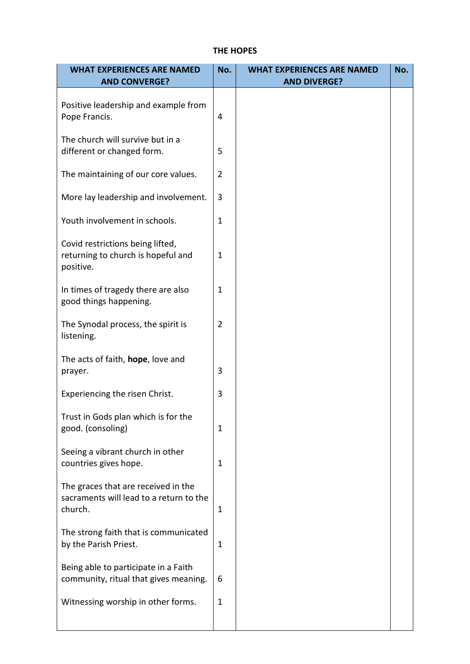## **THE HOPES**

| <b>WHAT EXPERIENCES ARE NAMED</b>                                                         | No.            | <b>WHAT EXPERIENCES ARE NAMED</b> | No. |
|-------------------------------------------------------------------------------------------|----------------|-----------------------------------|-----|
| <b>AND CONVERGE?</b>                                                                      |                | <b>AND DIVERGE?</b>               |     |
| Positive leadership and example from<br>Pope Francis.                                     | 4              |                                   |     |
| The church will survive but in a<br>different or changed form.                            | 5              |                                   |     |
| The maintaining of our core values.                                                       | $\overline{2}$ |                                   |     |
| More lay leadership and involvement.                                                      | 3              |                                   |     |
| Youth involvement in schools.                                                             | $\mathbf 1$    |                                   |     |
| Covid restrictions being lifted,<br>returning to church is hopeful and<br>positive.       | $\mathbf 1$    |                                   |     |
| In times of tragedy there are also<br>good things happening.                              | $\mathbf{1}$   |                                   |     |
| The Synodal process, the spirit is<br>listening.                                          | $\overline{2}$ |                                   |     |
| The acts of faith, hope, love and<br>prayer.                                              | 3              |                                   |     |
| Experiencing the risen Christ.                                                            | 3              |                                   |     |
| Trust in Gods plan which is for the<br>good. (consoling)                                  | 1              |                                   |     |
| Seeing a vibrant church in other<br>countries gives hope.                                 | 1              |                                   |     |
| The graces that are received in the<br>sacraments will lead to a return to the<br>church. | 1              |                                   |     |
| The strong faith that is communicated<br>by the Parish Priest.                            | 1              |                                   |     |
| Being able to participate in a Faith<br>community, ritual that gives meaning.             | 6              |                                   |     |
| Witnessing worship in other forms.                                                        | $\mathbf 1$    |                                   |     |
|                                                                                           |                |                                   |     |